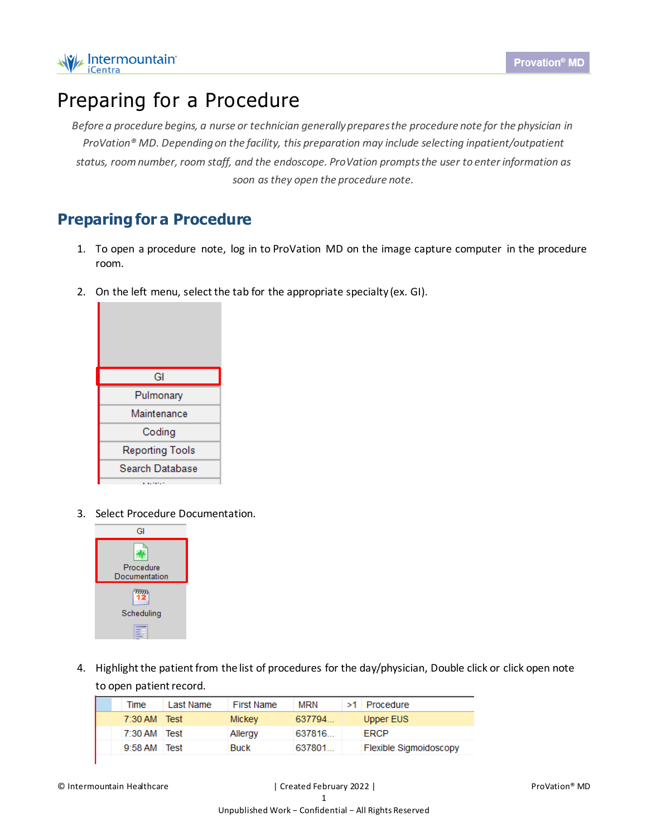

## Preparing for a Procedure

*Before a procedure begins, a nurse or technician generally prepares the procedure note for the physician in ProVation® MD. Depending on the facility, this preparation may include selecting inpatient/outpatient status, room number, room staff, and the endoscope. ProVation prompts the user to enter information as soon as they open the procedure note.*

## **Preparing for a Procedure**

- 1. To open a procedure note, log in to ProVation MD on the image capture computer in the procedure room.
- 2. On the left menu, select the tab for the appropriate specialty (ex. GI).



3. Select Procedure Documentation.



4. Highlight the patient from the list of procedures for the day/physician, Double click or click open note to open patient record.

| Time      | Last Name | <b>First Name</b> | MRN    | $>1$ Procedure         |
|-----------|-----------|-------------------|--------|------------------------|
| 7:30 AM   | Test      | Mickey            | 637794 | Upper EUS              |
| 7:30 AM   | Test      | Allergy           | 637816 | <b>FRCP</b>            |
| $9:58$ AM | Test      | <b>Buck</b>       | 637801 | Flexible Sigmoidoscopy |
|           |           |                   |        |                        |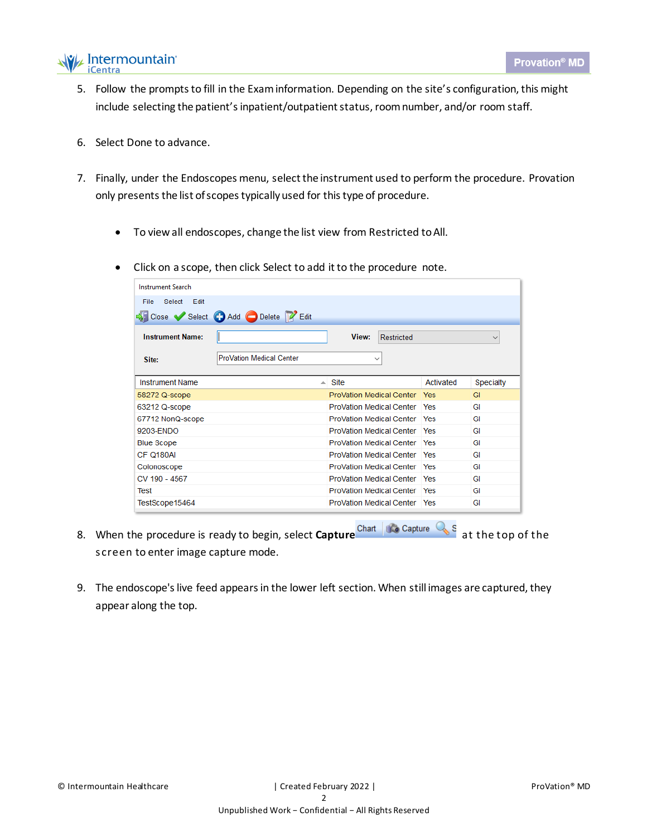

- 5. Follow the prompts to fill in the Exam information. Depending on the site's configuration, this might include selecting the patient's inpatient/outpatient status, room number, and/or room staff.
- 6. Select Done to advance.
- 7. Finally, under the Endoscopes menu, select the instrument used to perform the procedure. Provation only presents the list of scopes typically used for this type of procedure.
	- To view all endoscopes, change the list view from Restricted toAll.
	- Click on a scope, then click Select to add it to the procedure note.

| <b>Instrument Search</b> |                                 |    |                                       |           |              |  |
|--------------------------|---------------------------------|----|---------------------------------------|-----------|--------------|--|
| Select Edit<br>File      |                                 |    |                                       |           |              |  |
|                          | Close Select Add Delete PEdit   |    |                                       |           |              |  |
| <b>Instrument Name:</b>  |                                 |    | View:<br>Restricted                   |           | $\checkmark$ |  |
| Site:                    | <b>ProVation Medical Center</b> |    | $\checkmark$                          |           |              |  |
|                          |                                 |    |                                       |           |              |  |
| <b>Instrument Name</b>   |                                 | A. | Site                                  | Activated | Specialty    |  |
| 58272 Q-scope            |                                 |    | ProVation Medical Center Yes          |           | GI           |  |
| 63212 Q-scope            |                                 |    | <b>ProVation Medical Center   Yes</b> |           | GI           |  |
| 67712 NonQ-scope         |                                 |    | <b>ProVation Medical Center   Yes</b> |           | GI           |  |
| 9203-ENDO                |                                 |    | <b>ProVation Medical Center Yes</b>   |           | GI           |  |
| <b>Blue Scope</b>        |                                 |    | <b>ProVation Medical Center Pres</b>  |           | GI           |  |
| CF Q180AI                |                                 |    | <b>ProVation Medical Center Yes</b>   |           | GI           |  |
| Colonoscope              |                                 |    | <b>ProVation Medical Center   Yes</b> |           | GI           |  |
| CV 190 - 4567            |                                 |    | <b>ProVation Medical Center   Yes</b> |           | GI           |  |
| Test                     |                                 |    | <b>ProVation Medical Center Pres</b>  |           | GI           |  |
| TestScope15464           |                                 |    | <b>ProVation Medical Center   Yes</b> |           | GI           |  |

- 8. When the procedure is ready to begin, select **Capture** Chart **Constance Constant** at the top of the screen to enter image capture mode.
- 9. The endoscope's live feed appears in the lower left section. When still images are captured, they appear along the top.